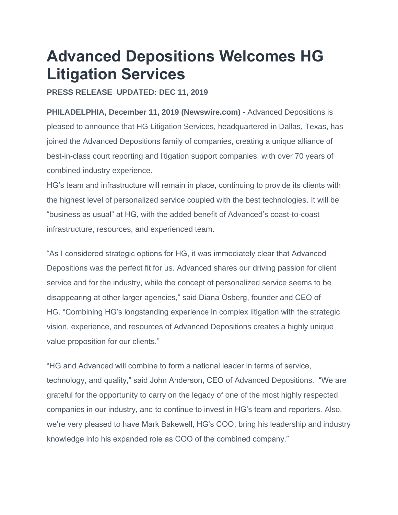# **Advanced Depositions Welcomes HG Litigation Services**

# **PRESS RELEASE UPDATED: DEC 11, 2019**

**PHILADELPHIA, December 11, 2019 (Newswire.com) -** Advanced Depositions is pleased to announce that HG Litigation Services, headquartered in Dallas, Texas, has joined the Advanced Depositions family of companies, creating a unique alliance of best-in-class court reporting and litigation support companies, with over 70 years of combined industry experience.

HG's team and infrastructure will remain in place, continuing to provide its clients with the highest level of personalized service coupled with the best technologies. It will be "business as usual" at HG, with the added benefit of Advanced's coast-to-coast infrastructure, resources, and experienced team.

"As I considered strategic options for HG, it was immediately clear that Advanced Depositions was the perfect fit for us. Advanced shares our driving passion for client service and for the industry, while the concept of personalized service seems to be disappearing at other larger agencies," said Diana Osberg, founder and CEO of HG. "Combining HG's longstanding experience in complex litigation with the strategic vision, experience, and resources of Advanced Depositions creates a highly unique value proposition for our clients."

"HG and Advanced will combine to form a national leader in terms of service, technology, and quality," said John Anderson, CEO of Advanced Depositions. "We are grateful for the opportunity to carry on the legacy of one of the most highly respected companies in our industry, and to continue to invest in HG's team and reporters. Also, we're very pleased to have Mark Bakewell, HG's COO, bring his leadership and industry knowledge into his expanded role as COO of the combined company."